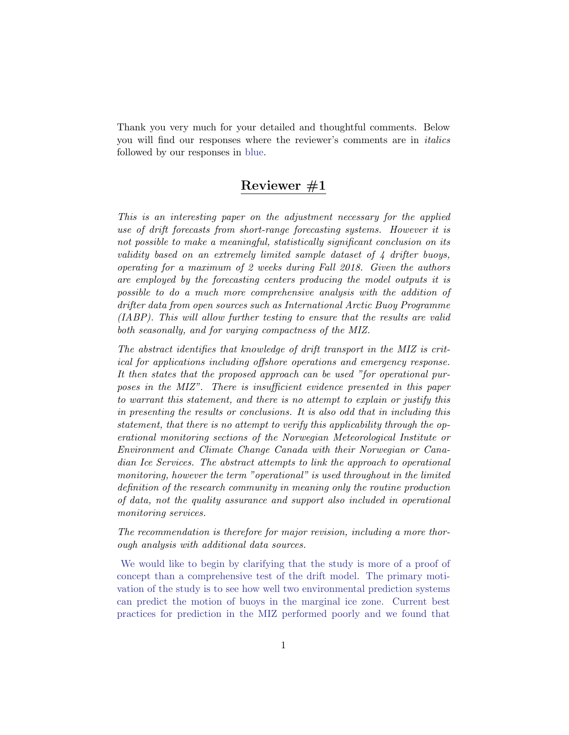Thank you very much for your detailed and thoughtful comments. Below you will find our responses where the reviewer's comments are in italics followed by our responses in blue.

## Reviewer #1

This is an interesting paper on the adjustment necessary for the applied use of drift forecasts from short-range forecasting systems. However it is not possible to make a meaningful, statistically significant conclusion on its validity based on an extremely limited sample dataset of 4 drifter buoys, operating for a maximum of 2 weeks during Fall 2018. Given the authors are employed by the forecasting centers producing the model outputs it is possible to do a much more comprehensive analysis with the addition of drifter data from open sources such as International Arctic Buoy Programme (IABP). This will allow further testing to ensure that the results are valid both seasonally, and for varying compactness of the MIZ.

The abstract identifies that knowledge of drift transport in the MIZ is critical for applications including offshore operations and emergency response. It then states that the proposed approach can be used "for operational purposes in the MIZ". There is insufficient evidence presented in this paper to warrant this statement, and there is no attempt to explain or justify this in presenting the results or conclusions. It is also odd that in including this statement, that there is no attempt to verify this applicability through the operational monitoring sections of the Norwegian Meteorological Institute or Environment and Climate Change Canada with their Norwegian or Canadian Ice Services. The abstract attempts to link the approach to operational monitoring, however the term "operational" is used throughout in the limited definition of the research community in meaning only the routine production of data, not the quality assurance and support also included in operational monitoring services.

The recommendation is therefore for major revision, including a more thorough analysis with additional data sources.

We would like to begin by clarifying that the study is more of a proof of concept than a comprehensive test of the drift model. The primary motivation of the study is to see how well two environmental prediction systems can predict the motion of buoys in the marginal ice zone. Current best practices for prediction in the MIZ performed poorly and we found that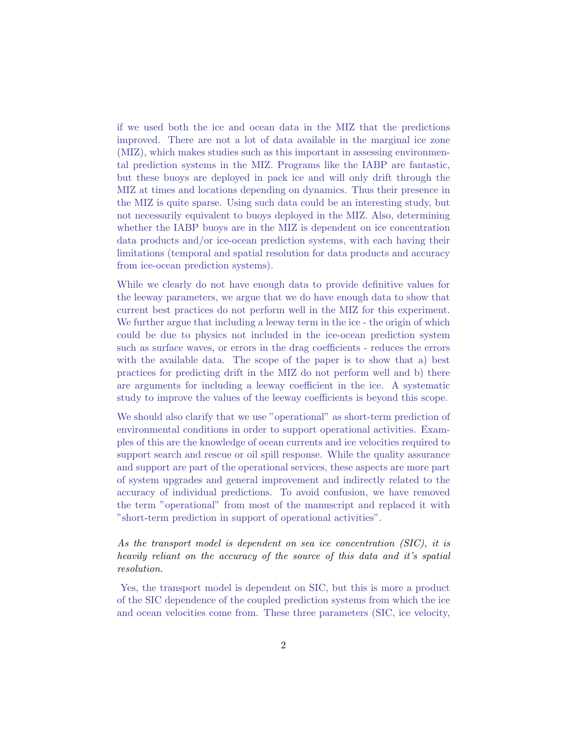if we used both the ice and ocean data in the MIZ that the predictions improved. There are not a lot of data available in the marginal ice zone (MIZ), which makes studies such as this important in assessing environmental prediction systems in the MIZ. Programs like the IABP are fantastic, but these buoys are deployed in pack ice and will only drift through the MIZ at times and locations depending on dynamics. Thus their presence in the MIZ is quite sparse. Using such data could be an interesting study, but not necessarily equivalent to buoys deployed in the MIZ. Also, determining whether the IABP buoys are in the MIZ is dependent on ice concentration data products and/or ice-ocean prediction systems, with each having their limitations (temporal and spatial resolution for data products and accuracy from ice-ocean prediction systems).

While we clearly do not have enough data to provide definitive values for the leeway parameters, we argue that we do have enough data to show that current best practices do not perform well in the MIZ for this experiment. We further argue that including a leeway term in the ice - the origin of which could be due to physics not included in the ice-ocean prediction system such as surface waves, or errors in the drag coefficients - reduces the errors with the available data. The scope of the paper is to show that a) best practices for predicting drift in the MIZ do not perform well and b) there are arguments for including a leeway coefficient in the ice. A systematic study to improve the values of the leeway coefficients is beyond this scope.

We should also clarify that we use "operational" as short-term prediction of environmental conditions in order to support operational activities. Examples of this are the knowledge of ocean currents and ice velocities required to support search and rescue or oil spill response. While the quality assurance and support are part of the operational services, these aspects are more part of system upgrades and general improvement and indirectly related to the accuracy of individual predictions. To avoid confusion, we have removed the term "operational" from most of the manuscript and replaced it with "short-term prediction in support of operational activities".

As the transport model is dependent on sea ice concentration (SIC), it is heavily reliant on the accuracy of the source of this data and it's spatial resolution.

Yes, the transport model is dependent on SIC, but this is more a product of the SIC dependence of the coupled prediction systems from which the ice and ocean velocities come from. These three parameters (SIC, ice velocity,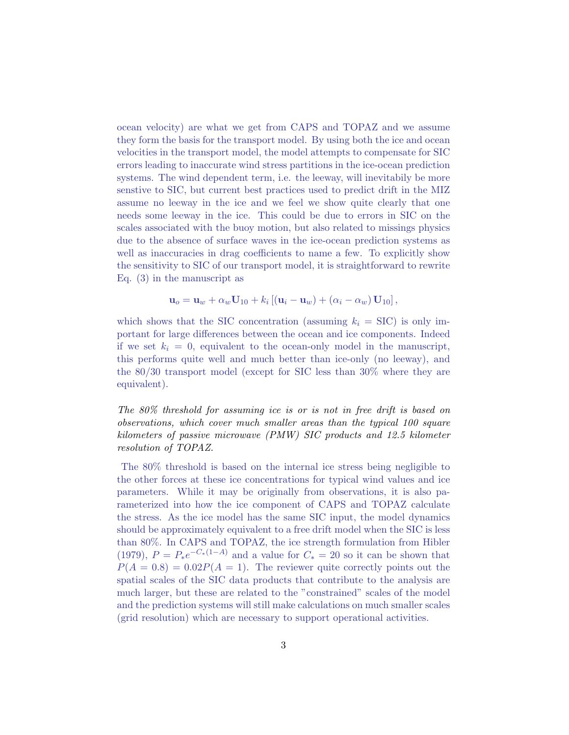ocean velocity) are what we get from CAPS and TOPAZ and we assume they form the basis for the transport model. By using both the ice and ocean velocities in the transport model, the model attempts to compensate for SIC errors leading to inaccurate wind stress partitions in the ice-ocean prediction systems. The wind dependent term, i.e. the leeway, will inevitabily be more senstive to SIC, but current best practices used to predict drift in the MIZ assume no leeway in the ice and we feel we show quite clearly that one needs some leeway in the ice. This could be due to errors in SIC on the scales associated with the buoy motion, but also related to missings physics due to the absence of surface waves in the ice-ocean prediction systems as well as inaccuracies in drag coefficients to name a few. To explicitly show the sensitivity to SIC of our transport model, it is straightforward to rewrite Eq. (3) in the manuscript as

$$
\mathbf{u}_o = \mathbf{u}_w + \alpha_w \mathbf{U}_{10} + k_i \left[ (\mathbf{u}_i - \mathbf{u}_w) + (\alpha_i - \alpha_w) \mathbf{U}_{10} \right],
$$

which shows that the SIC concentration (assuming  $k_i =$  SIC) is only important for large differences between the ocean and ice components. Indeed if we set  $k_i = 0$ , equivalent to the ocean-only model in the manuscript, this performs quite well and much better than ice-only (no leeway), and the 80/30 transport model (except for SIC less than 30% where they are equivalent).

The 80% threshold for assuming ice is or is not in free drift is based on observations, which cover much smaller areas than the typical 100 square kilometers of passive microwave (PMW) SIC products and 12.5 kilometer resolution of TOPAZ.

The 80% threshold is based on the internal ice stress being negligible to the other forces at these ice concentrations for typical wind values and ice parameters. While it may be originally from observations, it is also parameterized into how the ice component of CAPS and TOPAZ calculate the stress. As the ice model has the same SIC input, the model dynamics should be approximately equivalent to a free drift model when the SIC is less than 80%. In CAPS and TOPAZ, the ice strength formulation from Hibler (1979),  $P = P_*e^{-C_*(1-A)}$  and a value for  $C_* = 20$  so it can be shown that  $P(A = 0.8) = 0.02P(A = 1)$ . The reviewer quite correctly points out the spatial scales of the SIC data products that contribute to the analysis are much larger, but these are related to the "constrained" scales of the model and the prediction systems will still make calculations on much smaller scales (grid resolution) which are necessary to support operational activities.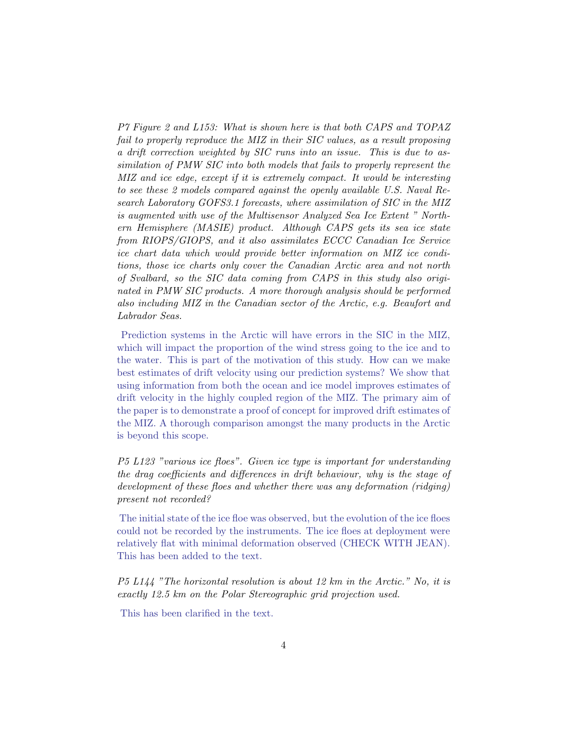P7 Figure 2 and L153: What is shown here is that both CAPS and TOPAZ fail to properly reproduce the MIZ in their SIC values, as a result proposing a drift correction weighted by SIC runs into an issue. This is due to assimilation of PMW SIC into both models that fails to properly represent the MIZ and ice edge, except if it is extremely compact. It would be interesting to see these 2 models compared against the openly available U.S. Naval Research Laboratory GOFS3.1 forecasts, where assimilation of SIC in the MIZ is augmented with use of the Multisensor Analyzed Sea Ice Extent " Northern Hemisphere (MASIE) product. Although CAPS gets its sea ice state from RIOPS/GIOPS, and it also assimilates ECCC Canadian Ice Service ice chart data which would provide better information on MIZ ice conditions, those ice charts only cover the Canadian Arctic area and not north of Svalbard, so the SIC data coming from CAPS in this study also originated in PMW SIC products. A more thorough analysis should be performed also including MIZ in the Canadian sector of the Arctic, e.g. Beaufort and Labrador Seas.

Prediction systems in the Arctic will have errors in the SIC in the MIZ, which will impact the proportion of the wind stress going to the ice and to the water. This is part of the motivation of this study. How can we make best estimates of drift velocity using our prediction systems? We show that using information from both the ocean and ice model improves estimates of drift velocity in the highly coupled region of the MIZ. The primary aim of the paper is to demonstrate a proof of concept for improved drift estimates of the MIZ. A thorough comparison amongst the many products in the Arctic is beyond this scope.

P5 L123 "various ice floes". Given ice type is important for understanding the drag coefficients and differences in drift behaviour, why is the stage of development of these floes and whether there was any deformation (ridging) present not recorded?

The initial state of the ice floe was observed, but the evolution of the ice floes could not be recorded by the instruments. The ice floes at deployment were relatively flat with minimal deformation observed (CHECK WITH JEAN). This has been added to the text.

P5 L144 "The horizontal resolution is about 12 km in the Arctic." No, it is exactly 12.5 km on the Polar Stereographic grid projection used.

This has been clarified in the text.